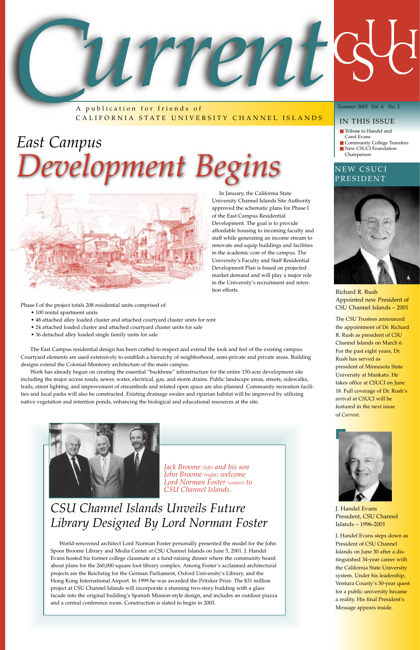A publication for friends of CALIFORNIA STATE UNIVERSITY CHANNEL ISLANDS

#### *Summer 2001 Vol. 6 No. 1*

#### IN THIS ISSUE

- Tribute to Handel and Carol Evans
- Community College Transfers ■ New CSUCI Foundation
- Chairperson

Richard R. Rush Appointed new President of CSU Channel Islands – 2001

The CSU Trustees announced the appointment of Dr. Richard R. Rush as president of CSU Channel Islands on March 6. For the past eight years, Dr. Rush has served as president of Minnesota State University at Mankato. He takes office at CSUCI on June 18. Full coverage of Dr. Rush's arrival at CSUCI will be featured in the next issue of *Current*.



J. Handel Evans President, CSU Channel Islands – 1996-2001

J. Handel Evans steps down as President of CSU Channel Islands on June 30 after a distinguished 34-year career with the California State University system. Under his leadership, Ventura County's 30-year quest for a public university became a reality. His final President's Message appears inside.



## *CSU Channel Islands Unveils Future Library Designed By Lord Norman Foster*

World-renowned architect Lord Norman Foster personally presented the model for the John Spoor Broome Library and Media Center at CSU Channel Islands on June 5, 2001. J. Handel Evans hosted his former college classmate at a fund-raising dinner where the community heard about plans for the 260,000 square foot library complex. Among Foster's acclaimed architectural projects are the Reichstag for the German Parliament, Oxford University's Library, and the Hong Kong International Airport. In 1999 he was awarded the Pritzker Prize. The \$31 million project at CSU Channel Islands will incorporate a stunning two-story building with a glass facade into the original building's Spanish Mission-style design, and includes an outdoor piazza and a central conference room. Construction is slated to begin in 2003.

#### NEW CSUCI PRESIDENT



*Jack Broome (left) and his son John Broome (right) welcome*

*Lord Norman Foster (center) to CSU Channel Islands.*

In January, the California State University Channel Islands Site Authority approved the schematic plans for Phase I of the East Campus Residential Development. The goal is to provide affordable housing to incoming faculty and staff while generating an income stream to renovate and equip buildings and facilities in the academic core of the campus. The University's Faculty and Staff Residential Development Plan is based on projected market demand and will play a major role in the University's recruitment and retention efforts.

Phase I of the project totals 208 residential units comprised of:

- 100 rental apartment units
- 48 attached alley loaded cluster and attached courtyard cluster units for rent
- 24 attached loaded cluster and attached courtyard cluster units for sale
- 36 detached alley loaded single family units for sale

The East Campus residential design has been crafted to respect and extend the look and feel of the existing campus. Courtyard elements are used extensively to establish a hierarchy of neighborhood, semi-private and private areas. Building designs extend the Colonial-Monterey architecture of the main campus.

Work has already begun on creating the essential "backbone" infrastructure for the entire 150-acre development site including the major access roads, sewer, water, electrical, gas, and storm drains. Public landscape areas, streets, sidewalks, trails, street lighting, and improvement of streambeds and related open space are also planned. Community recreation facilities and local parks will also be constructed. Existing drainage swales and riparian habitat will be improved by utilizing native vegetation and retention ponds, enhancing the biological and educational resources at the site.



## *East Campus Development Begins*

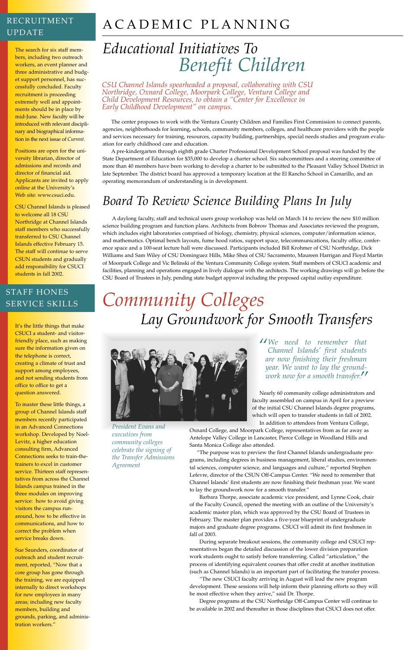## ACADEMIC PLANNING

## *Educational Initiatives To Benefit Children*

The center proposes to work with the Ventura County Children and Families First Commission to connect parents, agencies, neighborhoods for learning, schools, community members, colleges, and healthcare providers with the people and services necessary for training, resources, capacity building, partnerships, special needs studies and program evaluation for early childhood care and education.

A pre-kindergarten through eighth grade Charter Professional Development School proposal was funded by the State Department of Education for \$35,000 to develop a charter school. Six subcommittees and a steering committee of more than 40 members have been working to develop a charter to be submitted to the Pleasant Valley School District in late September. The district board has approved a temporary location at the El Rancho School in Camarillo, and an operating memorandum of understanding is in development.

## *Board To Review Science Building Plans In July*

A daylong faculty, staff and technical users group workshop was held on March 14 to review the new \$10 million science building program and function plans. Architects from Bobrow Thomas and Associates reviewed the program, which includes eight laboratories comprised of biology, chemistry, physical sciences, computer/information science, and mathematics. Optimal bench layouts, fume hood ratios, support space, telecommunications, faculty office, conference space and a 100-seat lecture hall were discussed. Participants included Bill Krohmer of CSU Northridge, Dick Williams and Sam Wiley of CSU Dominguez Hills, Mike Shea of CSU Sacramento, Maureen Harrigan and Floyd Martin of Moorpark College and Vic Belinski of the Ventura Community College system. Staff members of CSUCI academic and facilities, planning and operations engaged in lively dialogue with the architects. The working drawings will go before the CSU Board of Trustees in July, pending state budget approval including the proposed capital outlay expenditure.

## *Community Colleges Lay Groundwork for Smooth Transfers*



The search for six staff members, including two outreach workers, an event planner and three administrative and budget support personnel, has successfully concluded. Faculty recruitment is proceeding extremely well and appointments should be in place by mid-June. New faculty will be introduced with relevant disciplinary and biographical information in the next issue of *Current*.

Positions are open for the university librarian, director of admissions and records and director of financial aid. Applicants are invited to apply online at the University's Web site: www.csuci.edu.

CSU Channel Islands is pleased to welcome all 18 CSU Northridge at Channel Islands staff members who successfully transferred to CSU Channel Islands effective February 15. The staff will continue to serve CSUN students and gradually add responsibility for CSUCI students in fall 2002.

It's the little things that make CSUCI a student- and visitorfriendly place, such as making sure the information given on the telephone is correct, creating a climate of trust and support among employees, and not sending students from office to office to get a question answered.

To master these little things, a group of Channel Islands staff members recently participated in an Advanced Connections workshop. Developed by Noel-Levitz, a higher education consulting firm, Advanced Connections seeks to train-thetrainers to excel in customer service. Thirteen staff representatives from across the Channel Islands campus trained in the three modules on improving service: how to avoid giving visitors the campus runaround, how to be effective in communications, and how to correct the problem when service breaks down.

Sue Saunders, coordinator of outreach and student recruitment, reported, "Now that a core group has gone through the training, we are equipped internally to direct workshops for new employees in many areas; including new faculty members, building and grounds, parking, and administration workers."

#### RECRUITMENT UPDATE

#### STAFF HONES SERVICE SKILLS

*President Evans and executives from community colleges celebrate the signing of the Transfer Admissions Agreement*

*CSU Channel Islands spearheaded a proposal, collaborating with CSU Northridge, Oxnard College, Moorpark College, Ventura College and Child Development Resources, to obtain a "Center for Excellence in Early Childhood Development" on campus.*

> Nearly 60 community college administrators and faculty assembled on campus in April for a preview of the initial CSU Channel Islands degree programs, which will open to transfer students in fall of 2002.

In addition to attendees from Ventura College,

Oxnard College, and Moorpark College, representatives from as far away as Antelope Valley College in Lancaster, Pierce College in Woodland Hills and Santa Monica College also attended.

"The purpose was to preview the first Channel Islands undergraduate programs, including degrees in business management, liberal studies, environmental sciences, computer science, and languages and culture," reported Stephen Lefevre, director of the CSUN Off-Campus Center. "We need to remember that

Channel Islands' first students are now finishing their freshman year. We want to lay the groundwork now for a smooth transfer."

Barbara Thorpe, associate academic vice president, and Lynne Cook, chair of the Faculty Council, opened the meeting with an outline of the University's academic master plan, which was approved by the CSU Board of Trustees in February. The master plan provides a five-year blueprint of undergraduate majors and graduate degree programs. CSUCI will admit its first freshmen in fall of 2003.

During separate breakout sessions, the community college and CSUCI representatives began the detailed discussion of the lower division preparation work students ought to satisfy before transferring. Called "articulation," the process of identifying equivalent courses that offer credit at another institution (such as Channel Islands) is an important part of facilitating the transfer process.

"The new CSUCI faculty arriving in August will lead the new program development. These sessions will help inform their planning efforts so they will be most effective when they arrive," said Dr. Thorpe.

Degree programs at the CSU Northridge Off-Campus Center will continue to be available in 2002 and thereafter in those disciplines that CSUCI does not offer.

*"We need to remember that Channel Islands' first students are now finishing their freshman year. We want to lay the groundwork now for a smooth transfer."*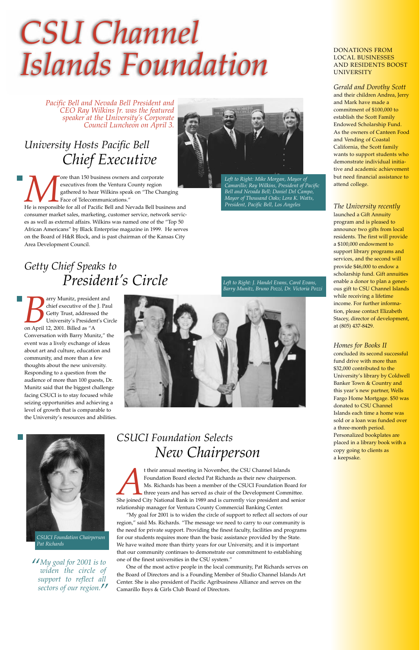## *University Hosts Pacific Bell Chief Executive*

**More than 150 business owners and corporate**<br>
executives from the Ventura County region<br>
gathered to hear Wilkins speak on "The Changing<br>
He is responsible for all of Pacific Bell and Nevada Bell business and executives from the Ventura County region gathered to hear Wilkins speak on "The Changing Face of Telecommunications."

consumer market sales, marketing, customer service, network services as well as external affairs. Wilkins was named one of the "Top 50 African Americans" by Black Enterprise magazine in 1999. He serves on the Board of H&R Block, and is past chairman of the Kansas City Area Development Council.

### *Getty Chief Speaks to President's Circle*

**Barry Munitz, president and chief executive of the J. Pau<br>Getty Trust, addressed the University's President's Cir<br>on April 12, 2001. Billed as "A** chief executive of the J. Paul Getty Trust, addressed the University's President's Circle Conversation with Barry Munitz," the event was a lively exchange of ideas about art and culture, education and community, and more than a few thoughts about the new university. Responding to a question from the audience of more than 100 guests, Dr. Munitz said that the biggest challenge facing CSUCI is to stay focused while seizing opportunities and achieving a level of growth that is comparable to the University's resources and abilities.





# *CSU Channel Islands Foundation*

*Pacific Bell and Nevada Bell President and CEO Ray Wilkins Jr. was the featured speaker at the University's Corporate Council Luncheon on April 3.*



*Left to Right: Mike Morgan, Mayor of Camarillo; Ray Wilkins, President of Pacific Bell and Nevada Bell; Daniel Del Campo, Mayor of Thousand Oaks; Lora K. Watts, President, Pacific Bell, Los Angeles*

*Left to Right: J. Handel Evans, Carol Evans, Barry Munitz, Bruno Pozzi, Dr. Victoria Pozzi*

*CSUCI Foundation Chairperson Pat Richards*

#### DONATIONS FROM LOCAL BUSINESSES AND RESIDENTS BOOST UNIVERSITY

<sup>t</sup> their annual meeting in November, the CSU Channel Islands<br>
Foundation Board elected Pat Richards as their new chairperson.<br>
Ms. Richards has been a member of the CSUCI Foundation Board for<br>
three years and has served a Foundation Board elected Pat Richards as their new chairperson. Ms. Richards has been a member of the CSUCI Foundation Board for three years and has served as chair of the Development Committee. relationship manager for Ventura County Commercial Banking Center.

#### *Gerald and Dorothy Scott*

and their children Andrea, Jerry and Mark have made a commitment of \$100,000 to establish the Scott Family Endowed Scholarship Fund. As the owners of Canteen Food and Vending of Coastal California, the Scott family wants to support students who demonstrate individual initiative and academic achievement but need financial assistance to attend college.

#### *The University recently*

launched a Gift Annuity program and is pleased to announce two gifts from local residents. The first will provide a \$100,000 endowment to support library programs and services, and the second will provide \$46,000 to endow a scholarship fund. Gift annuities enable a donor to plan a generous gift to CSU Channel Islands while receiving a lifetime income. For further information, please contact Elizabeth Stacey, director of development, at (805) 437-8429.

#### *Homes for Books II*

concluded its second successful fund drive with more than \$32,000 contributed to the University's library by Coldwell Banker Town & Country and this year's new partner, Wells Fargo Home Mortgage. \$50 was donated to CSU Channel Islands each time a home was sold or a loan was funded over a three-month period. Personalized bookplates are placed in a library book with a copy going to clients as a keepsake.

*CSUCI Foundation Selects New Chairperson* 



"My goal for 2001 is to widen the circle of support to reflect all sectors of our region," said Ms. Richards. "The message we need to carry to our community is the need for private support. Providing the finest faculty, facilities and programs for our students requires more than the basic assistance provided by the State. We have waited more than thirty years for our University, and it is important that our community continues to demonstrate our commitment to establishing one of the finest universities in the CSU system."

One of the most active people in the local community, Pat Richards serves on the Board of Directors and is a Founding Member of Studio Channel Islands Art Center. She is also president of Pacific Agribusiness Alliance and serves on the Camarillo Boys & Girls Club Board of Directors.

*"My goal for 2001 is to widen the circle of support to reflect all sectors of our region. "*